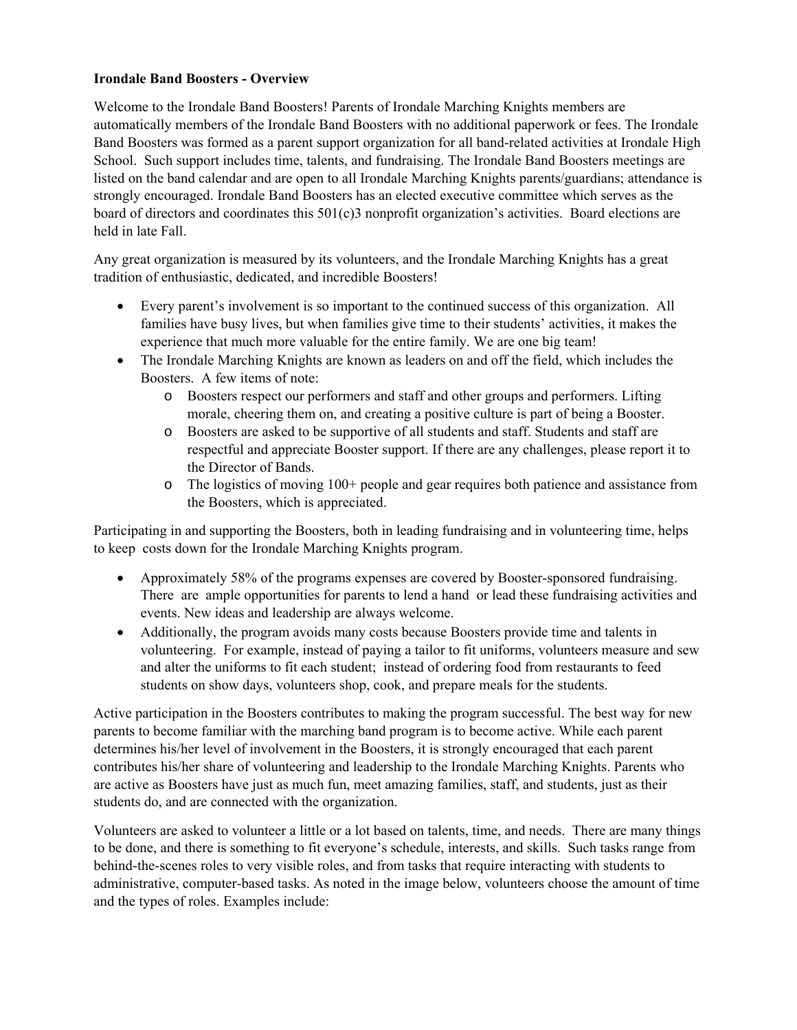## **Irondale Band Boosters - Overview**

Welcome to the Irondale Band Boosters! Parents of Irondale Marching Knights members are automatically members of the Irondale Band Boosters with no additional paperwork or fees. The Irondale Band Boosters was formed as a parent support organization for all band-related activities at Irondale High School. Such support includes time, talents, and fundraising. The Irondale Band Boosters meetings are listed on the band calendar and are open to all Irondale Marching Knights parents/guardians; attendance is strongly encouraged. Irondale Band Boosters has an elected executive committee which serves as the board of directors and coordinates this 501(c)3 nonprofit organization's activities. Board elections are held in late Fall.

Any great organization is measured by its volunteers, and the Irondale Marching Knights has a great tradition of enthusiastic, dedicated, and incredible Boosters!

- Every parent's involvement is so important to the continued success of this organization. All families have busy lives, but when families give time to their students' activities, it makes the experience that much more valuable for the entire family. We are one big team!
- The Irondale Marching Knights are known as leaders on and off the field, which includes the Boosters. A few items of note:
	- o Boosters respect our performers and staff and other groups and performers. Lifting morale, cheering them on, and creating a positive culture is part of being a Booster.
	- o Boosters are asked to be supportive of all students and staff. Students and staff are respectful and appreciate Booster support. If there are any challenges, please report it to the Director of Bands.
	- o The logistics of moving 100+ people and gear requires both patience and assistance from the Boosters, which is appreciated.

Participating in and supporting the Boosters, both in leading fundraising and in volunteering time, helps to keep costs down for the Irondale Marching Knights program.

- Approximately 58% of the programs expenses are covered by Booster-sponsored fundraising. There are ample opportunities for parents to lend a hand or lead these fundraising activities and events. New ideas and leadership are always welcome.
- Additionally, the program avoids many costs because Boosters provide time and talents in volunteering. For example, instead of paying a tailor to fit uniforms, volunteers measure and sew and alter the uniforms to fit each student; instead of ordering food from restaurants to feed students on show days, volunteers shop, cook, and prepare meals for the students.

Active participation in the Boosters contributes to making the program successful. The best way for new parents to become familiar with the marching band program is to become active. While each parent determines his/her level of involvement in the Boosters, it is strongly encouraged that each parent contributes his/her share of volunteering and leadership to the Irondale Marching Knights. Parents who are active as Boosters have just as much fun, meet amazing families, staff, and students, just as their students do, and are connected with the organization.

Volunteers are asked to volunteer a little or a lot based on talents, time, and needs. There are many things to be done, and there is something to fit everyone's schedule, interests, and skills. Such tasks range from behind-the-scenes roles to very visible roles, and from tasks that require interacting with students to administrative, computer-based tasks. As noted in the image below, volunteers choose the amount of time and the types of roles. Examples include: